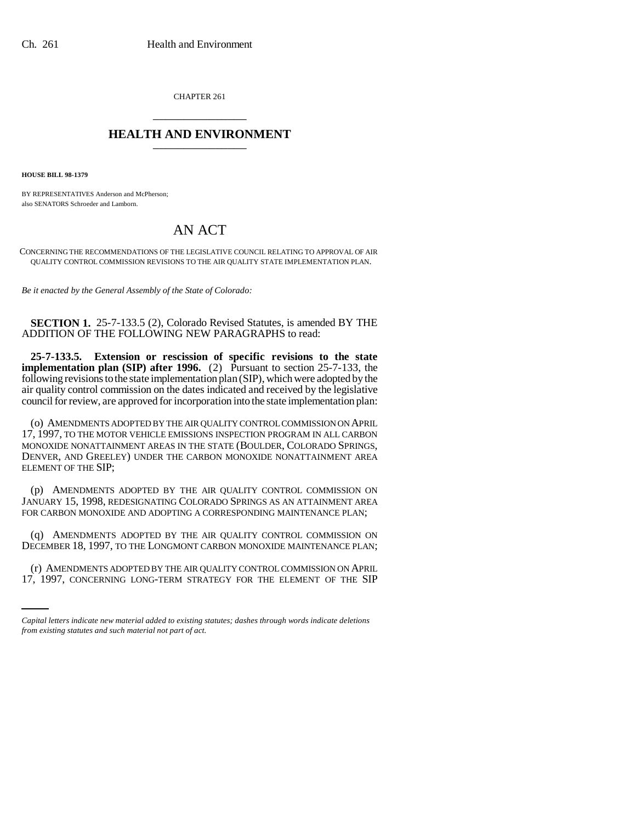CHAPTER 261 \_\_\_\_\_\_\_\_\_\_\_\_\_\_\_

## **HEALTH AND ENVIRONMENT** \_\_\_\_\_\_\_\_\_\_\_\_\_\_\_

**HOUSE BILL 98-1379**

BY REPRESENTATIVES Anderson and McPherson; also SENATORS Schroeder and Lamborn.

## AN ACT

CONCERNING THE RECOMMENDATIONS OF THE LEGISLATIVE COUNCIL RELATING TO APPROVAL OF AIR QUALITY CONTROL COMMISSION REVISIONS TO THE AIR QUALITY STATE IMPLEMENTATION PLAN.

*Be it enacted by the General Assembly of the State of Colorado:*

**SECTION 1.** 25-7-133.5 (2), Colorado Revised Statutes, is amended BY THE ADDITION OF THE FOLLOWING NEW PARAGRAPHS to read:

**25-7-133.5. Extension or rescission of specific revisions to the state implementation plan (SIP) after 1996.** (2) Pursuant to section 25-7-133, the following revisions to the state implementation plan (SIP), which were adopted by the air quality control commission on the dates indicated and received by the legislative council for review, are approved for incorporation into the state implementation plan:

(o) AMENDMENTS ADOPTED BY THE AIR QUALITY CONTROL COMMISSION ON APRIL 17, 1997, TO THE MOTOR VEHICLE EMISSIONS INSPECTION PROGRAM IN ALL CARBON MONOXIDE NONATTAINMENT AREAS IN THE STATE (BOULDER, COLORADO SPRINGS, DENVER, AND GREELEY) UNDER THE CARBON MONOXIDE NONATTAINMENT AREA ELEMENT OF THE SIP;

(p) AMENDMENTS ADOPTED BY THE AIR QUALITY CONTROL COMMISSION ON JANUARY 15, 1998, REDESIGNATING COLORADO SPRINGS AS AN ATTAINMENT AREA FOR CARBON MONOXIDE AND ADOPTING A CORRESPONDING MAINTENANCE PLAN;

(q) AMENDMENTS ADOPTED BY THE AIR QUALITY CONTROL COMMISSION ON DECEMBER 18, 1997, TO THE LONGMONT CARBON MONOXIDE MAINTENANCE PLAN;

(r) AMENDMENTS ADOPTED BY THE AIR QUALITY CONTROL COMMISSION ON APRIL 17, 1997, CONCERNING LONG-TERM STRATEGY FOR THE ELEMENT OF THE SIP

*Capital letters indicate new material added to existing statutes; dashes through words indicate deletions from existing statutes and such material not part of act.*